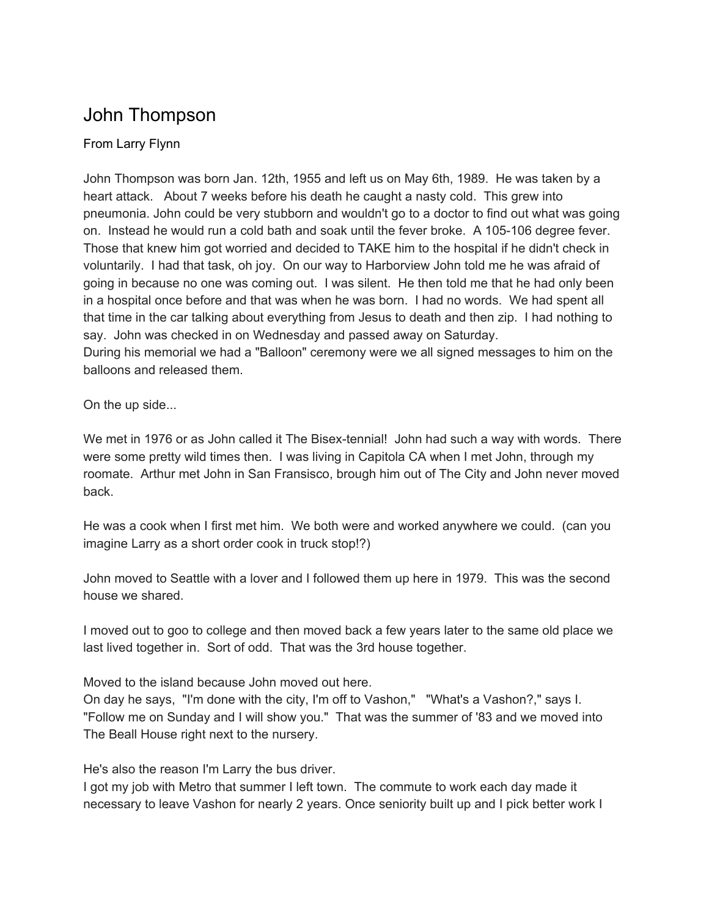## John Thompson

## From Larry Flynn

John Thompson was born Jan. 12th, 1955 and left us on May 6th, 1989. He was taken by a heart attack. About 7 weeks before his death he caught a nasty cold. This grew into pneumonia. John could be very stubborn and wouldn't go to a doctor to find out what was going on. Instead he would run a cold bath and soak until the fever broke. A 105-106 degree fever. Those that knew him got worried and decided to TAKE him to the hospital if he didn't check in voluntarily. I had that task, oh joy. On our way to Harborview John told me he was afraid of going in because no one was coming out. I was silent. He then told me that he had only been in a hospital once before and that was when he was born. I had no words. We had spent all that time in the car talking about everything from Jesus to death and then zip. I had nothing to say. John was checked in on Wednesday and passed away on Saturday. During his memorial we had a "Balloon" ceremony were we all signed messages to him on the

balloons and released them.

On the up side...

We met in 1976 or as John called it The Bisex-tennial! John had such a way with words. There were some pretty wild times then. I was living in Capitola CA when I met John, through my roomate. Arthur met John in San Fransisco, brough him out of The City and John never moved back.

He was a cook when I first met him. We both were and worked anywhere we could. (can you imagine Larry as a short order cook in truck stop!?)

John moved to Seattle with a lover and I followed them up here in 1979. This was the second house we shared.

I moved out to goo to college and then moved back a few years later to the same old place we last lived together in. Sort of odd. That was the 3rd house together.

Moved to the island because John moved out here.

On day he says, "I'm done with the city, I'm off to Vashon," "What's a Vashon?," says I. "Follow me on Sunday and I will show you." That was the summer of '83 and we moved into The Beall House right next to the nursery.

He's also the reason I'm Larry the bus driver.

I got my job with Metro that summer I left town. The commute to work each day made it necessary to leave Vashon for nearly 2 years. Once seniority built up and I pick better work I